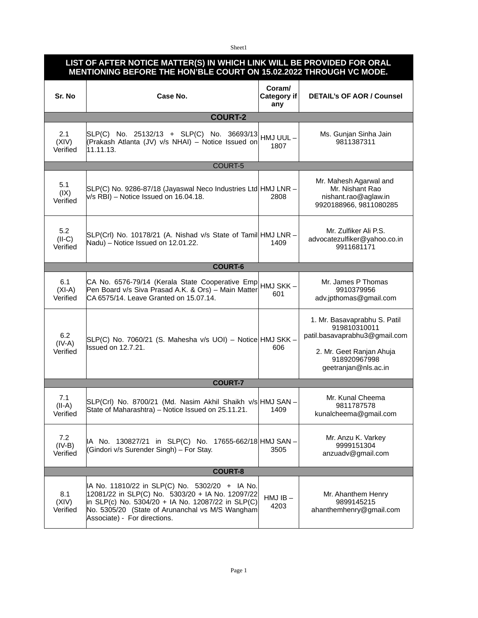Sheet1

| LIST OF AFTER NOTICE MATTER(S) IN WHICH LINK WILL BE PROVIDED FOR ORAL<br>MENTIONING BEFORE THE HON BLE COURT ON 15.02.2022 THROUGH VC MODE. |                                                                                                                                                                                                                                            |                              |                                                                                                                                                   |  |  |  |  |
|----------------------------------------------------------------------------------------------------------------------------------------------|--------------------------------------------------------------------------------------------------------------------------------------------------------------------------------------------------------------------------------------------|------------------------------|---------------------------------------------------------------------------------------------------------------------------------------------------|--|--|--|--|
| Sr. No                                                                                                                                       | Case No.                                                                                                                                                                                                                                   | Coram/<br>Category if<br>any | <b>DETAIL's OF AOR / Counsel</b>                                                                                                                  |  |  |  |  |
| <b>COURT-2</b>                                                                                                                               |                                                                                                                                                                                                                                            |                              |                                                                                                                                                   |  |  |  |  |
| 2.1<br>(XIV)<br>Verified                                                                                                                     | SLP(C) No. 25132/13 + SLP(C) No. 36693/13<br>(Prakash Atlanta (JV) v/s NHAI) - Notice Issued on<br>11.11.13.                                                                                                                               | HMJ UUL-<br>1807             | Ms. Gunjan Sinha Jain<br>9811387311                                                                                                               |  |  |  |  |
| COURT-5                                                                                                                                      |                                                                                                                                                                                                                                            |                              |                                                                                                                                                   |  |  |  |  |
| 5.1<br>(IX)<br>Verified                                                                                                                      | SLP(C) No. 9286-87/18 (Jayaswal Neco Industries Ltd HMJ LNR -<br>$V/S$ RBI) – Notice Issued on 16.04.18.                                                                                                                                   | 2808                         | Mr. Mahesh Agarwal and<br>Mr. Nishant Rao<br>nishant.rao@aglaw.in<br>9920188966, 9811080285                                                       |  |  |  |  |
| 5.2<br>$(II-C)$<br>Verified                                                                                                                  | SLP(Crl) No. 10178/21 (A. Nishad v/s State of Tamil HMJ LNR -<br>Nadu) - Notice Issued on 12.01.22.                                                                                                                                        | 1409                         | Mr. Zulfiker Ali P.S.<br>advocatezulfiker@yahoo.co.in<br>9911681171                                                                               |  |  |  |  |
| <b>COURT-6</b>                                                                                                                               |                                                                                                                                                                                                                                            |                              |                                                                                                                                                   |  |  |  |  |
| 6.1<br>$(XI-A)$<br>Verified                                                                                                                  | CA No. 6576-79/14 (Kerala State Cooperative Emp<br>Pen Board v/s Siva Prasad A.K. & Ors) - Main Matter<br>CA 6575/14. Leave Granted on 15.07.14.                                                                                           | HMJ SKK-<br>601              | Mr. James P Thomas<br>9910379956<br>adv.jpthomas@gmail.com                                                                                        |  |  |  |  |
| 6.2<br>$(IV-A)$<br>Verified                                                                                                                  | SLP(C) No. 7060/21 (S. Mahesha v/s UOI) – Notice HMJ SKK –<br>Issued on 12.7.21.                                                                                                                                                           | 606                          | 1. Mr. Basavaprabhu S. Patil<br>919810310011<br>patil.basavaprabhu3@gmail.com<br>2. Mr. Geet Ranjan Ahuja<br>918920967998<br>geetranjan@nls.ac.in |  |  |  |  |
| <b>COURT-7</b>                                                                                                                               |                                                                                                                                                                                                                                            |                              |                                                                                                                                                   |  |  |  |  |
| 7.1<br>$(II-A)$<br>Verified                                                                                                                  | SLP(Crl) No. 8700/21 (Md. Nasim Akhil Shaikh v/s HMJ SAN -<br>State of Maharashtra) - Notice Issued on 25.11.21.                                                                                                                           | 1409                         | Mr. Kunal Cheema<br>9811787578<br>kunalcheema@gmail.com                                                                                           |  |  |  |  |
| 7.2<br>$(IV-B)$<br>Verified                                                                                                                  | IA No. 130827/21 in SLP(C) No. 17655-662/18 HMJ SAN -<br>(Gindori v/s Surender Singh) - For Stay.                                                                                                                                          | 3505                         | Mr. Anzu K. Varkey<br>9999151304<br>anzuadv@gmail.com                                                                                             |  |  |  |  |
| <b>COURT-8</b>                                                                                                                               |                                                                                                                                                                                                                                            |                              |                                                                                                                                                   |  |  |  |  |
| 8.1<br>(XIV)<br>Verified                                                                                                                     | IA No. 11810/22 in SLP(C) No. 5302/20 + IA No.<br>12081/22 in SLP(C) No. 5303/20 + IA No. 12097/22<br>in SLP(c) No. 5304/20 + IA No. 12087/22 in SLP(C)<br>No. 5305/20 (State of Arunanchal vs M/S Wangham<br>Associate) - For directions. | $HMJIB -$<br>4203            | Mr. Ahanthem Henry<br>9899145215<br>ahanthemhenry@gmail.com                                                                                       |  |  |  |  |